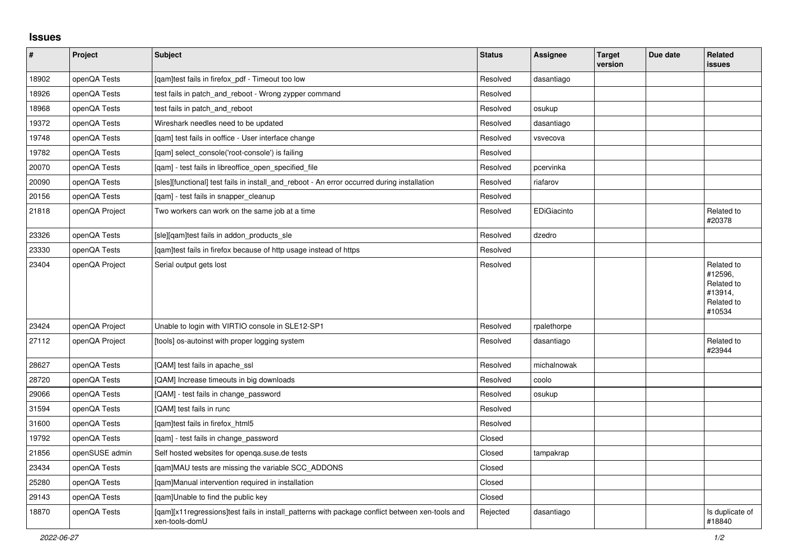## **Issues**

| $\vert$ # | Project        | <b>Subject</b>                                                                                                     | <b>Status</b> | Assignee    | <b>Target</b><br>version | Due date | Related<br>issues                                                      |
|-----------|----------------|--------------------------------------------------------------------------------------------------------------------|---------------|-------------|--------------------------|----------|------------------------------------------------------------------------|
| 18902     | openQA Tests   | [qam]test fails in firefox_pdf - Timeout too low                                                                   | Resolved      | dasantiago  |                          |          |                                                                        |
| 18926     | openQA Tests   | test fails in patch and reboot - Wrong zypper command                                                              | Resolved      |             |                          |          |                                                                        |
| 18968     | openQA Tests   | test fails in patch and reboot                                                                                     | Resolved      | osukup      |                          |          |                                                                        |
| 19372     | openQA Tests   | Wireshark needles need to be updated                                                                               | Resolved      | dasantiago  |                          |          |                                                                        |
| 19748     | openQA Tests   | [qam] test fails in ooffice - User interface change                                                                | Resolved      | vsvecova    |                          |          |                                                                        |
| 19782     | openQA Tests   | [gam] select console('root-console') is failing                                                                    | Resolved      |             |                          |          |                                                                        |
| 20070     | openQA Tests   | [gam] - test fails in libreoffice open specified file                                                              | Resolved      | pcervinka   |                          |          |                                                                        |
| 20090     | openQA Tests   | [sles][functional] test fails in install and reboot - An error occurred during installation                        | Resolved      | riafarov    |                          |          |                                                                        |
| 20156     | openQA Tests   | [gam] - test fails in snapper cleanup                                                                              | Resolved      |             |                          |          |                                                                        |
| 21818     | openQA Project | Two workers can work on the same job at a time                                                                     | Resolved      | EDiGiacinto |                          |          | Related to<br>#20378                                                   |
| 23326     | openQA Tests   | [sle][qam]test fails in addon_products_sle                                                                         | Resolved      | dzedro      |                          |          |                                                                        |
| 23330     | openQA Tests   | [qam]test fails in firefox because of http usage instead of https                                                  | Resolved      |             |                          |          |                                                                        |
| 23404     | openQA Project | Serial output gets lost                                                                                            | Resolved      |             |                          |          | Related to<br>#12596,<br>Related to<br>#13914,<br>Related to<br>#10534 |
| 23424     | openQA Project | Unable to login with VIRTIO console in SLE12-SP1                                                                   | Resolved      | rpalethorpe |                          |          |                                                                        |
| 27112     | openQA Project | [tools] os-autoinst with proper logging system                                                                     | Resolved      | dasantiago  |                          |          | Related to<br>#23944                                                   |
| 28627     | openQA Tests   | [QAM] test fails in apache ssl                                                                                     | Resolved      | michalnowak |                          |          |                                                                        |
| 28720     | openQA Tests   | [QAM] Increase timeouts in big downloads                                                                           | Resolved      | coolo       |                          |          |                                                                        |
| 29066     | openQA Tests   | [QAM] - test fails in change password                                                                              | Resolved      | osukup      |                          |          |                                                                        |
| 31594     | openQA Tests   | [QAM] test fails in runc                                                                                           | Resolved      |             |                          |          |                                                                        |
| 31600     | openQA Tests   | [qam]test fails in firefox_html5                                                                                   | Resolved      |             |                          |          |                                                                        |
| 19792     | openQA Tests   | [qam] - test fails in change_password                                                                              | Closed        |             |                          |          |                                                                        |
| 21856     | openSUSE admin | Self hosted websites for openqa.suse.de tests                                                                      | Closed        | tampakrap   |                          |          |                                                                        |
| 23434     | openQA Tests   | [qam]MAU tests are missing the variable SCC_ADDONS                                                                 | Closed        |             |                          |          |                                                                        |
| 25280     | openQA Tests   | [qam]Manual intervention required in installation                                                                  | Closed        |             |                          |          |                                                                        |
| 29143     | openQA Tests   | [qam]Unable to find the public key                                                                                 | Closed        |             |                          |          |                                                                        |
| 18870     | openQA Tests   | [qam][x11 regressions]test fails in install_patterns with package conflict between xen-tools and<br>xen-tools-domU | Rejected      | dasantiago  |                          |          | Is duplicate of<br>#18840                                              |